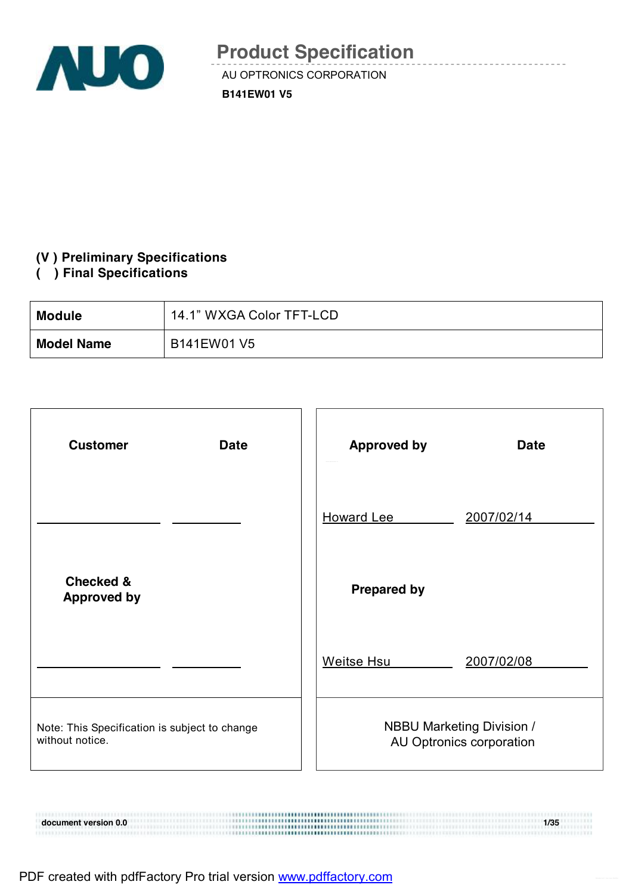

AU OPTRONICS CORPORATION **B141EW01 V5** 

### **(V ) Preliminary Specifications**

### **( ) Final Specifications**

| <b>Module</b>     | 14.1" WXGA Color TFT-LCD |
|-------------------|--------------------------|
| <b>Model Name</b> | B141EW01 V5              |

| <b>Customer</b><br><b>Date</b>                                   | <b>Approved by</b><br><b>Date</b>                            |
|------------------------------------------------------------------|--------------------------------------------------------------|
|                                                                  | <b>Howard Lee</b><br>2007/02/14                              |
| <b>Checked &amp;</b><br><b>Approved by</b>                       | <b>Prepared by</b>                                           |
|                                                                  | <b>Weitse Hsu</b><br>2007/02/08                              |
| Note: This Specification is subject to change<br>without notice. | <b>NBBU Marketing Division /</b><br>AU Optronics corporation |

**document version 0.0 1/35**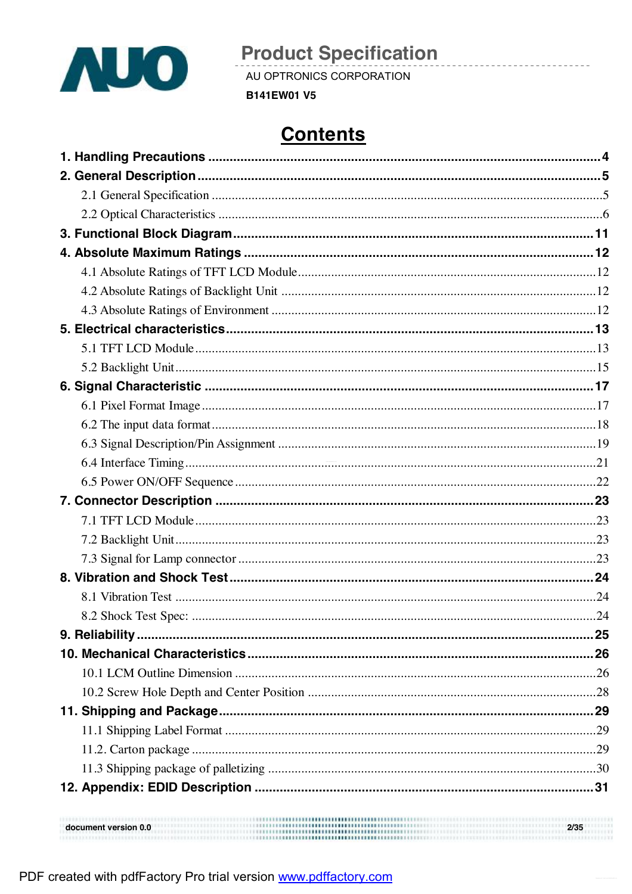

AU OPTRONICS CORPORATION

**B141EW01 V5** 

# **Contents**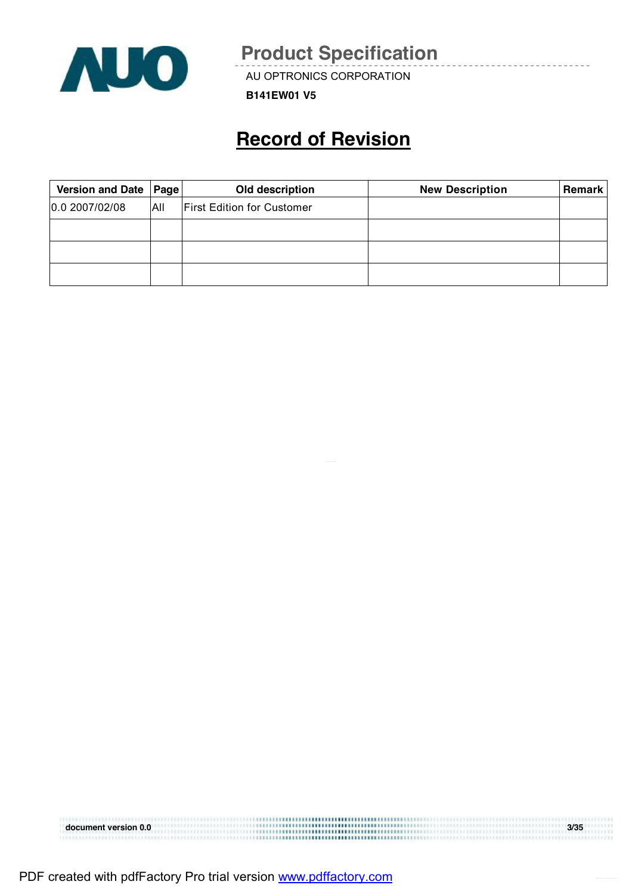

AU OPTRONICS CORPORATION

**B141EW01 V5** 

## **Record of Revision**

| Version and Date   Page |      | Old description                   | <b>New Description</b> | Remark |
|-------------------------|------|-----------------------------------|------------------------|--------|
| 0.0 2007/02/08          | ΙAΙΙ | <b>First Edition for Customer</b> |                        |        |
|                         |      |                                   |                        |        |
|                         |      |                                   |                        |        |
|                         |      |                                   |                        |        |

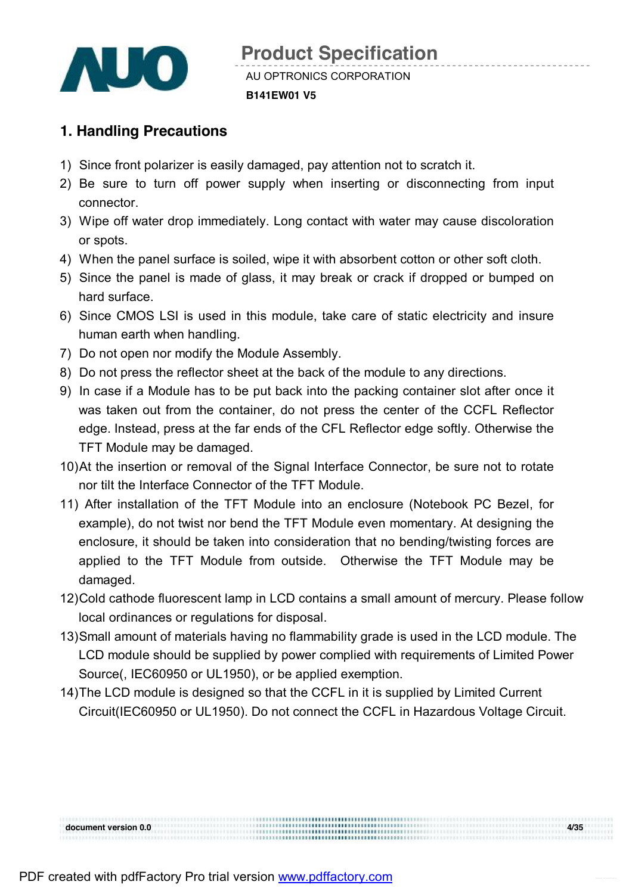

### **1. Handling Precautions**

- 1) Since front polarizer is easily damaged, pay attention not to scratch it.
- 2) Be sure to turn off power supply when inserting or disconnecting from input connector.
- 3) Wipe off water drop immediately. Long contact with water may cause discoloration or spots.
- 4) When the panel surface is soiled, wipe it with absorbent cotton or other soft cloth.
- 5) Since the panel is made of glass, it may break or crack if dropped or bumped on hard surface.
- 6) Since CMOS LSI is used in this module, take care of static electricity and insure human earth when handling.
- 7) Do not open nor modify the Module Assembly.
- 8) Do not press the reflector sheet at the back of the module to any directions.
- 9) In case if a Module has to be put back into the packing container slot after once it was taken out from the container, do not press the center of the CCFL Reflector edge. Instead, press at the far ends of the CFL Reflector edge softly. Otherwise the TFT Module may be damaged.
- 10) At the insertion or removal of the Signal Interface Connector, be sure not to rotate nor tilt the Interface Connector of the TFT Module.
- 11) After installation of the TFT Module into an enclosure (Notebook PC Bezel, for example), do not twist nor bend the TFT Module even momentary. At designing the enclosure, it should be taken into consideration that no bending/twisting forces are applied to the TFT Module from outside. Otherwise the TFT Module may be damaged.
- 12)Cold cathode fluorescent lamp in LCD contains a small amount of mercury. Please follow local ordinances or regulations for disposal.
- 13)Small amount of materials having no flammability grade is used in the LCD module. The LCD module should be supplied by power complied with requirements of Limited Power Source(, IEC60950 or UL1950), or be applied exemption.
- 14)The LCD module is designed so that the CCFL in it is supplied by Limited Current Circuit(IEC60950 or UL1950). Do not connect the CCFL in Hazardous Voltage Circuit.

**document version 0.0 4/35**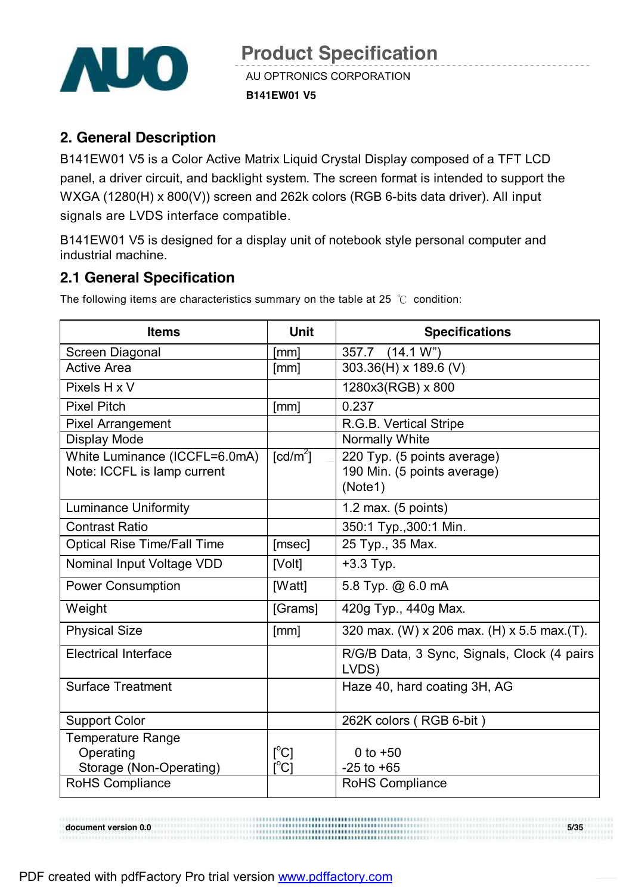

### **2. General Description**

B141EW01 V5 is a Color Active Matrix Liquid Crystal Display composed of a TFT LCD panel, a driver circuit, and backlight system. The screen format is intended to support the WXGA (1280(H) x 800(V)) screen and 262k colors (RGB 6-bits data driver). All input signals are LVDS interface compatible.

B141EW01 V5 is designed for a display unit of notebook style personal computer and industrial machine.

### **2.1 General Specification**

The following items are characteristics summary on the table at 25 ℃ condition:

| <b>Items</b>                       | <b>Unit</b>                             | <b>Specifications</b>                       |
|------------------------------------|-----------------------------------------|---------------------------------------------|
| Screen Diagonal                    | [mm]                                    | 357.7 (14.1 W")                             |
| <b>Active Area</b>                 | [mm]                                    | 303.36(H) x 189.6 (V)                       |
| Pixels H x V                       |                                         | 1280x3(RGB) x 800                           |
| <b>Pixel Pitch</b>                 | [mm]                                    | 0.237                                       |
| <b>Pixel Arrangement</b>           |                                         | R.G.B. Vertical Stripe                      |
| <b>Display Mode</b>                |                                         | Normally White                              |
| White Luminance (ICCFL=6.0mA)      | $\lceil cd/m^2 \rceil$                  | 220 Typ. (5 points average)                 |
| Note: ICCFL is lamp current        |                                         | 190 Min. (5 points average)                 |
|                                    |                                         | (Note1)                                     |
| <b>Luminance Uniformity</b>        |                                         | 1.2 max. $(5$ points)                       |
| <b>Contrast Ratio</b>              |                                         | 350:1 Typ., 300:1 Min.                      |
| <b>Optical Rise Time/Fall Time</b> | [msec]                                  | 25 Typ., 35 Max.                            |
| Nominal Input Voltage VDD          | [Volt]                                  | $+3.3$ Typ.                                 |
| <b>Power Consumption</b>           | [Watt]                                  | 5.8 Typ. @ 6.0 mA                           |
| Weight                             | [Grams]                                 | 420g Typ., 440g Max.                        |
| <b>Physical Size</b>               | [mm]                                    | 320 max. (W) x 206 max. (H) x 5.5 max. (T). |
| <b>Electrical Interface</b>        |                                         | R/G/B Data, 3 Sync, Signals, Clock (4 pairs |
|                                    |                                         | LVDS)                                       |
| <b>Surface Treatment</b>           |                                         | Haze 40, hard coating 3H, AG                |
| <b>Support Color</b>               |                                         | 262K colors (RGB 6-bit)                     |
| Temperature Range                  |                                         |                                             |
| Operating                          | $[^{\circ}C]$                           | 0 to $+50$                                  |
| Storage (Non-Operating)            | $\mathsf{I}^\circ\mathsf{C} \mathsf{I}$ | $-25$ to $+65$                              |
| RoHS Compliance                    |                                         | RoHS Compliance                             |

**document** version 0.0 5/35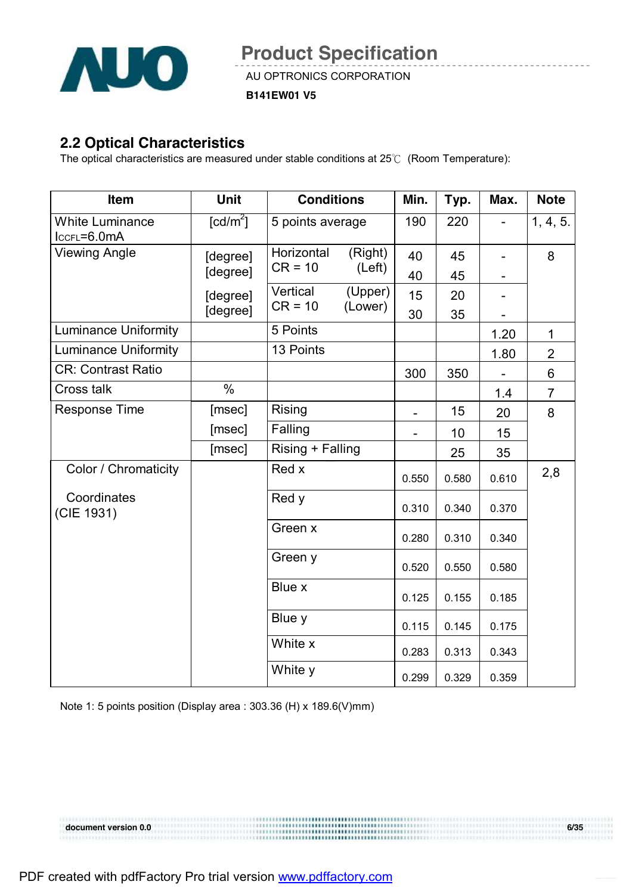

AU OPTRONICS CORPORATION

**B141EW01 V5** 

#### **2.2 Optical Characteristics**

The optical characteristics are measured under stable conditions at 25℃ (Room Temperature):

| Item                                  | <b>Unit</b>            | <b>Conditions</b> |         | Min.  | Typ.  | Max.  | <b>Note</b>    |
|---------------------------------------|------------------------|-------------------|---------|-------|-------|-------|----------------|
| <b>White Luminance</b><br>ICCFL=6.0mA | $\lceil cd/m^2 \rceil$ | 5 points average  |         | 190   | 220   |       | 1, 4, 5.       |
| <b>Viewing Angle</b>                  | [degree]               | Horizontal        | (Right) | 40    | 45    |       | 8              |
|                                       | [degree]               | $CR = 10$         | (Left)  | 40    | 45    |       |                |
|                                       | [degree]               | Vertical          | (Upper) | 15    | 20    |       |                |
|                                       | [degree]               | $CR = 10$         | (Lower) | 30    | 35    |       |                |
| <b>Luminance Uniformity</b>           |                        | 5 Points          |         |       |       | 1.20  | 1              |
| <b>Luminance Uniformity</b>           |                        | 13 Points         |         |       |       | 1.80  | $\overline{2}$ |
| <b>CR: Contrast Ratio</b>             |                        |                   |         | 300   | 350   |       | 6              |
| Cross talk                            | $\frac{0}{0}$          |                   |         |       |       | 1.4   | $\overline{7}$ |
| <b>Response Time</b>                  | [msec]                 | Rising            |         |       | 15    | 20    | 8              |
|                                       | [msec]                 | Falling           |         |       | 10    | 15    |                |
|                                       | [msec]                 | Rising + Falling  |         |       | 25    | 35    |                |
| Color / Chromaticity                  |                        | Red x             |         | 0.550 | 0.580 | 0.610 | 2,8            |
| Coordinates<br>(CIE 1931)             |                        | Red y             |         | 0.310 | 0.340 | 0.370 |                |
|                                       |                        | Green x           |         | 0.280 | 0.310 | 0.340 |                |
|                                       |                        | Green y           |         | 0.520 | 0.550 | 0.580 |                |
|                                       |                        | Blue x            |         | 0.125 | 0.155 | 0.185 |                |
|                                       |                        | Blue y            |         | 0.115 | 0.145 | 0.175 |                |
|                                       |                        | White x           |         | 0.283 | 0.313 | 0.343 |                |
|                                       |                        | White y           |         | 0.299 | 0.329 | 0.359 |                |

Note 1: 5 points position (Display area : 303.36 (H) x 189.6(V)mm)

**document version 0.0 6/35**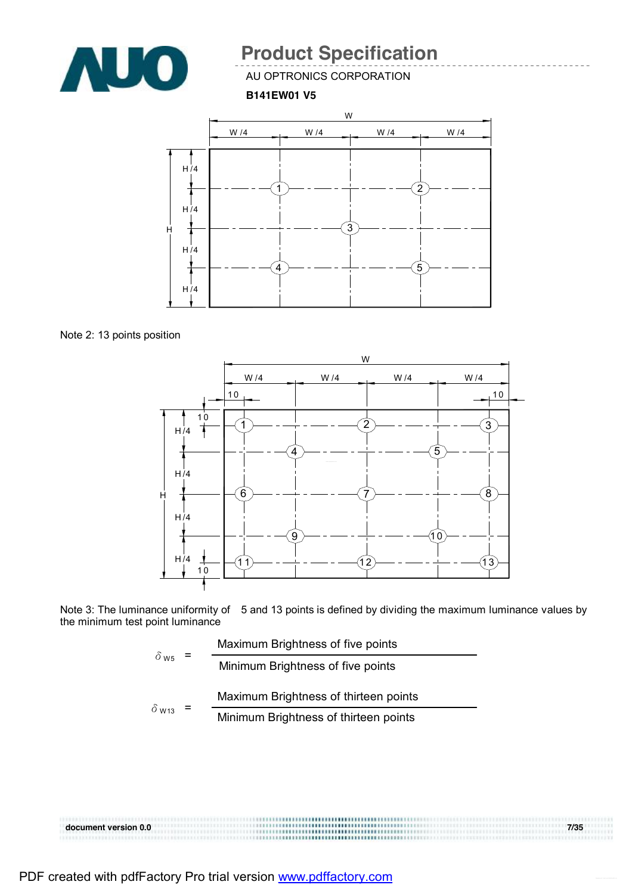

AU OPTRONICS CORPORATION

#### **B141EW01 V5**



Note 2: 13 points position



Note 3: The luminance uniformity of 5 and 13 points is defined by dividing the maximum luminance values by the minimum test point luminance

|                         | Maximum Brightness of five points     |
|-------------------------|---------------------------------------|
| $\delta$ w <sub>5</sub> | Minimum Brightness of five points     |
|                         | Maximum Brightness of thirteen points |
| $\delta$ W13            | Minimum Brightness of thirteen points |

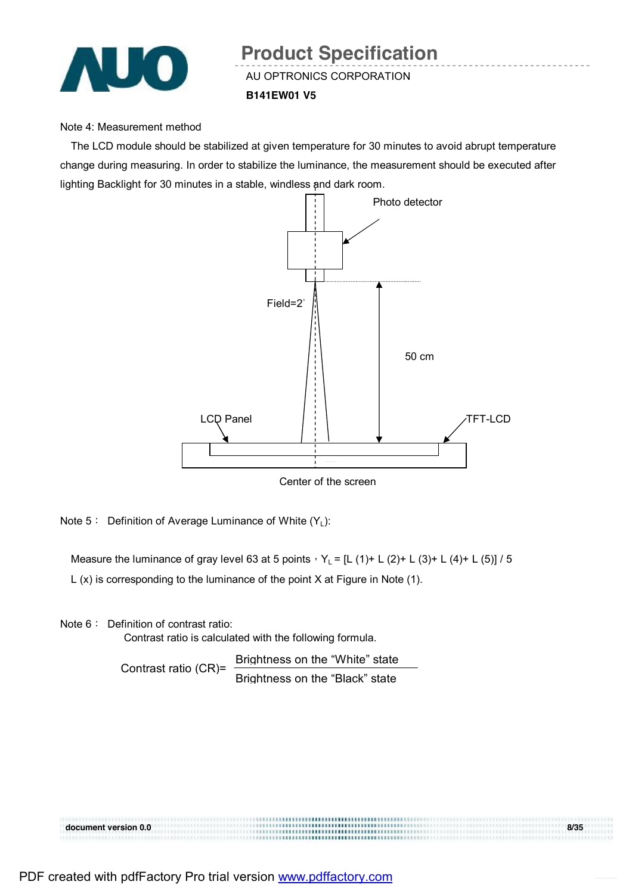

## AU OPTRONICS CORPORATION **B141EW01 V5 Product Specification**

#### Note 4: Measurement method

The LCD module should be stabilized at given temperature for 30 minutes to avoid abrupt temperature change during measuring. In order to stabilize the luminance, the measurement should be executed after lighting Backlight for 30 minutes in a stable, windless and dark room.



Center of the screen

Note 5: Definition of Average Luminance of White  $(Y_L)$ :

Measure the luminance of gray level 63 at 5 points,  $Y_L = [L (1) + L (2) + L (3) + L (4) + L (5)] / 5$ 

L (x) is corresponding to the luminance of the point X at Figure in Note (1).

Note 6: Definition of contrast ratio:

Contrast ratio is calculated with the following formula.

Contrast ratio (CR)= Brightness on the "White" state Brightness on the "Black" state

| document version 0.0 | 8/35 |
|----------------------|------|
|                      |      |
|                      |      |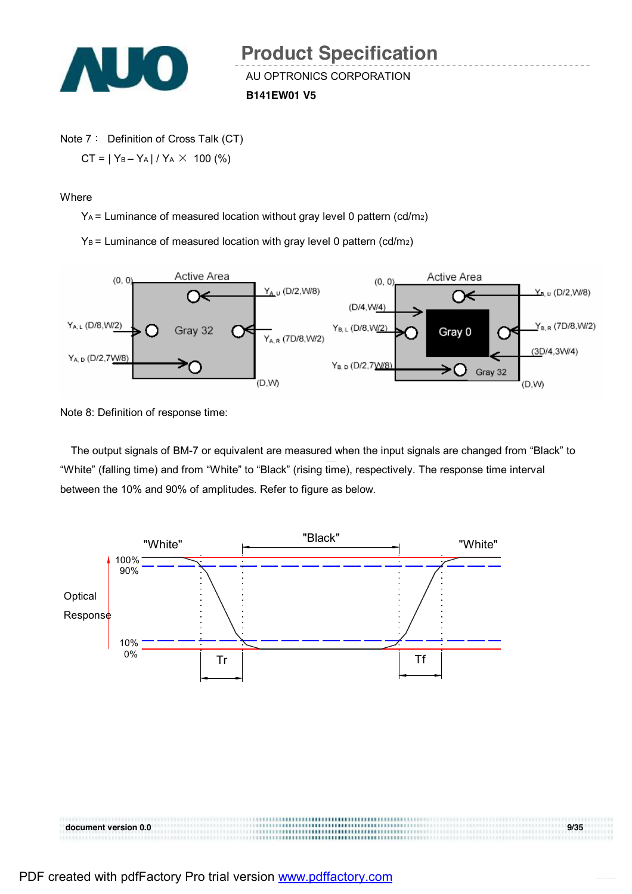

Note 7: Definition of Cross Talk (CT)  $CT = |Y_B - Y_A| / Y_A \times 100$  (%)

**Where** 

 $Y_A$  = Luminance of measured location without gray level 0 pattern (cd/m<sub>2</sub>)

 $Y_B$  = Luminance of measured location with gray level 0 pattern (cd/m<sub>2</sub>)



Note 8: Definition of response time:

The output signals of BM-7 or equivalent are measured when the input signals are changed from "Black" to "White" (falling time) and from "White" to "Black" (rising time), respectively. The response time interval between the 10% and 90% of amplitudes. Refer to figure as below.

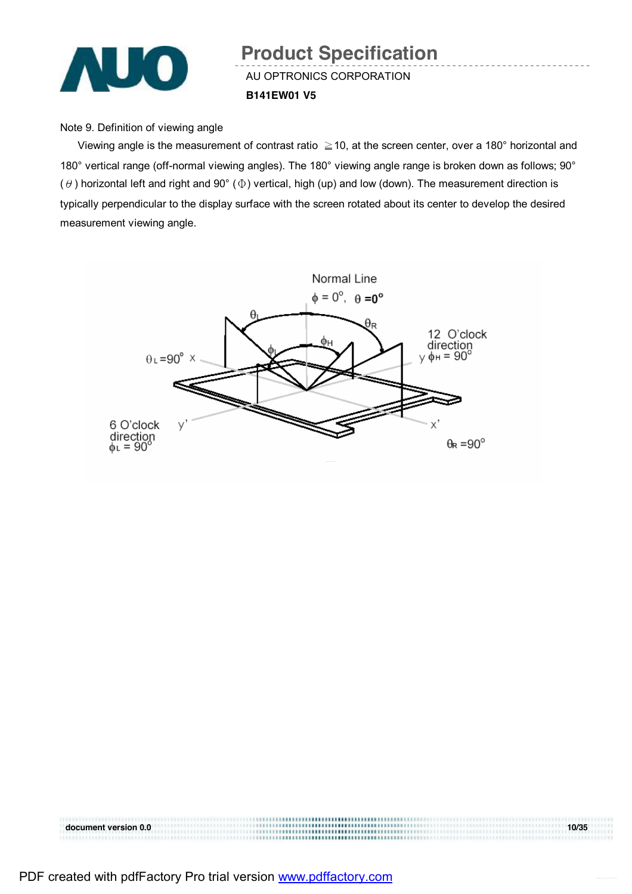

## AU OPTRONICS CORPORATION **B141EW01 V5 Product Specification**

#### Note 9. Definition of viewing angle

Viewing angle is the measurement of contrast ratio  $\geq$  10, at the screen center, over a 180° horizontal and 180° vertical range (off-normal viewing angles). The 180° viewing angle range is broken down as follows; 90° ( $\theta$ ) horizontal left and right and 90° ( $\Phi$ ) vertical, high (up) and low (down). The measurement direction is typically perpendicular to the display surface with the screen rotated about its center to develop the desired measurement viewing angle.



**document** version 0.0 10/35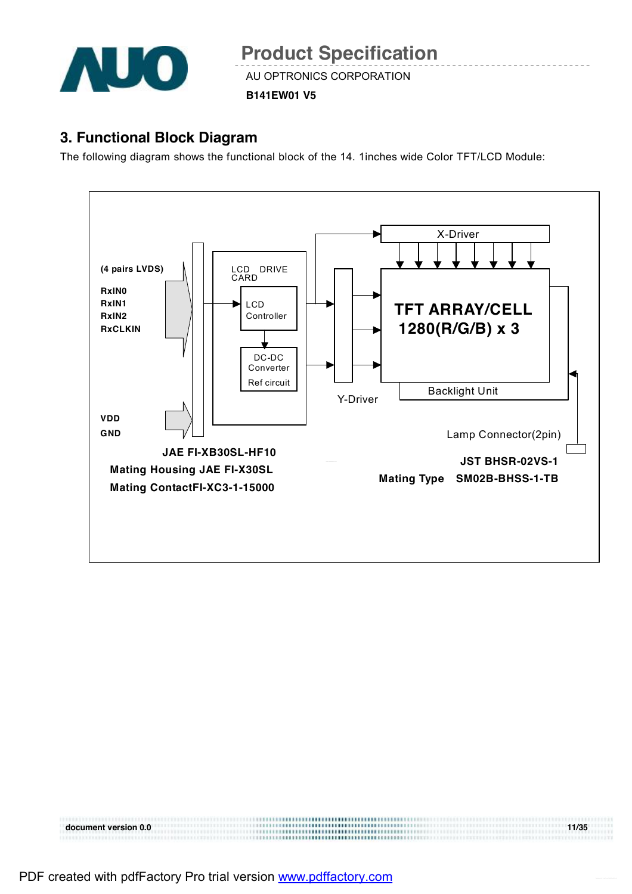

**B141EW01 V5** 

### **3. Functional Block Diagram**

The following diagram shows the functional block of the 14. 1inches wide Color TFT/LCD Module:



**document version 0.0 11/35**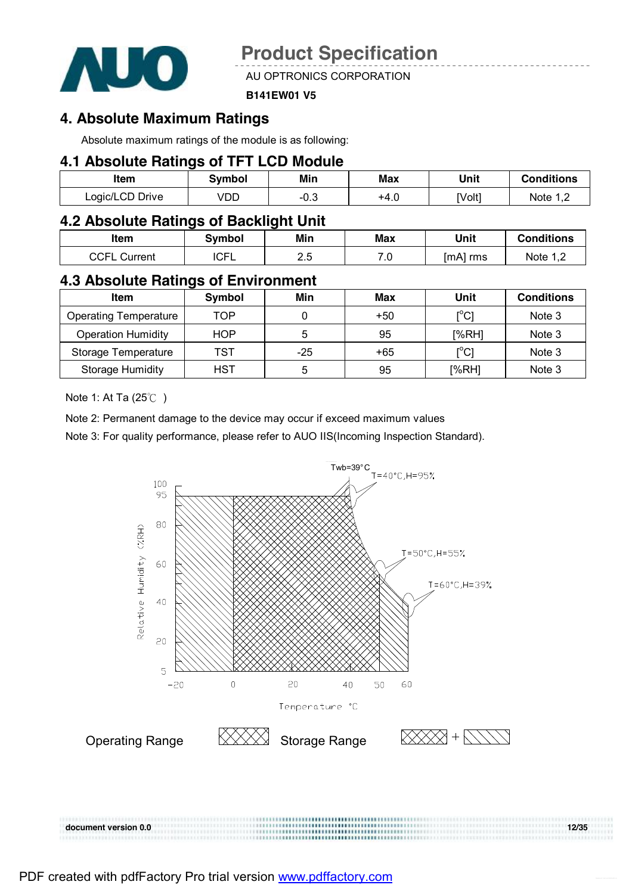

AU OPTRONICS CORPORATION

#### **B141EW01 V5**

#### **4. Absolute Maximum Ratings**

Absolute maximum ratings of the module is as following:

#### **4.1 Absolute Ratings of TFT LCD Module**

| ltem            | Svmbol | Min  | Max  | Unit   | <b>Conditions</b> |
|-----------------|--------|------|------|--------|-------------------|
| Logic/LCD Drive | VDD    | −∪.ം | +4.U | [Volt] | Note 1 1          |

#### **4.2 Absolute Ratings of Backlight Unit**

| Item                   | Symbol      | Min        | <b>Max</b> | Unit        | <b>Conditions</b> |
|------------------------|-------------|------------|------------|-------------|-------------------|
| CCE.<br>Current<br>◡◡┌ | <b>ICFL</b> | ገ ୮<br>ے.ء | .v         | [mA]<br>rms | Note              |

#### **4.3 Absolute Ratings of Environment**

| <b>Item</b>                  | Symbol     | Min | Max   | Unit                                    | <b>Conditions</b> |
|------------------------------|------------|-----|-------|-----------------------------------------|-------------------|
| <b>Operating Temperature</b> | TOP        |     | $+50$ | $\mathsf{I}^\circ\mathsf{C} \mathsf{I}$ | Note 3            |
| <b>Operation Humidity</b>    | <b>HOP</b> | 5   | 95    | [%RH]                                   | Note 3            |
| Storage Temperature          | TST        | -25 | +65   | $\mathsf{I}^\circ\mathsf{C} \mathsf{I}$ | Note 3            |
| Storage Humidity             | HST        | 5   | 95    | [%RH]                                   | Note 3            |

Note 1: At Ta (25℃ )

Note 2: Permanent damage to the device may occur if exceed maximum values

Note 3: For quality performance, please refer to AUO IIS(Incoming Inspection Standard).

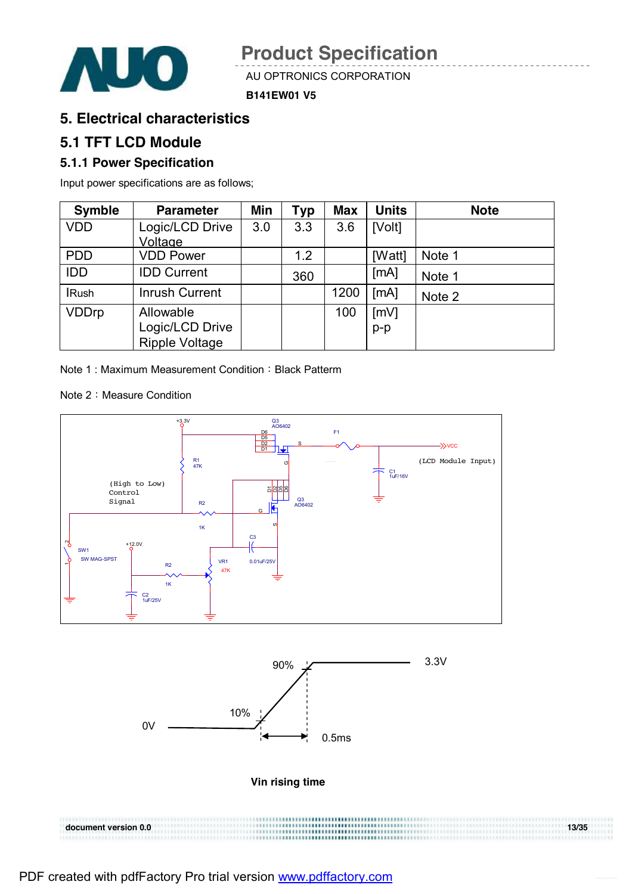

#### **B141EW01 V5**

### **5. Electrical characteristics**

### **5.1 TFT LCD Module**

#### **5.1.1 Power Specification**

Input power specifications are as follows;

| <b>Symble</b> | <b>Parameter</b>      | Min | Typ | <b>Max</b> | <b>Units</b> | <b>Note</b> |
|---------------|-----------------------|-----|-----|------------|--------------|-------------|
| <b>VDD</b>    | Logic/LCD Drive       | 3.0 | 3.3 | 3.6        | [Volt]       |             |
|               | Voltage               |     |     |            |              |             |
| <b>PDD</b>    | <b>VDD Power</b>      |     | 1.2 |            | [Watt]       | Note 1      |
| <b>IDD</b>    | <b>IDD Current</b>    |     | 360 |            | [mA]         | Note 1      |
| <b>IRush</b>  | <b>Inrush Current</b> |     |     | 1200       | [MA]         | Note 2      |
| <b>VDDrp</b>  | Allowable             |     |     | 100        | [mV]         |             |
|               | Logic/LCD Drive       |     |     |            | $p-p$        |             |
|               | <b>Ripple Voltage</b> |     |     |            |              |             |

Note 1: Maximum Measurement Condition: Black Patterm

Note 2: Measure Condition





**Vin rising time** 

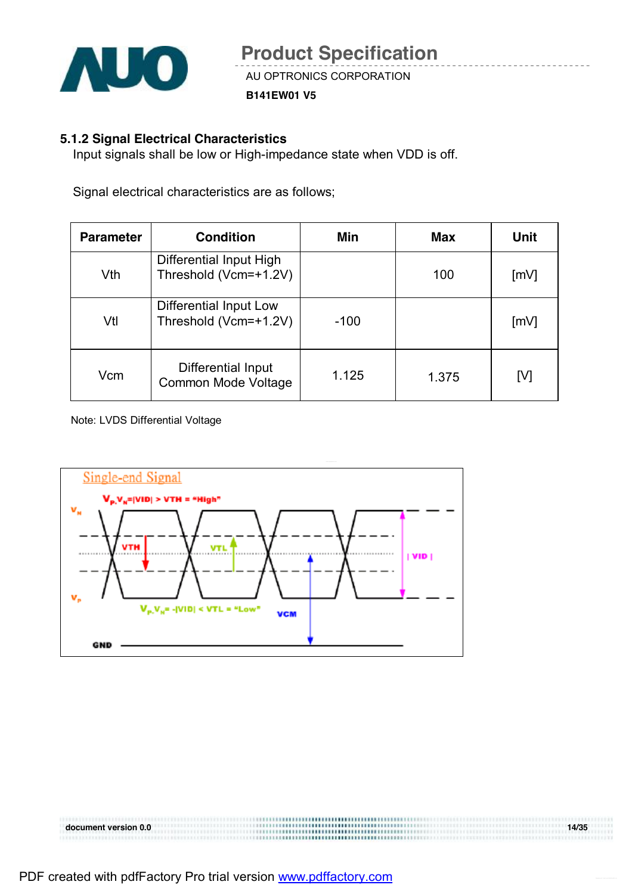

**B141EW01 V5** 

#### **5.1.2 Signal Electrical Characteristics**

Input signals shall be low or High-impedance state when VDD is off.

Signal electrical characteristics are as follows;

| <b>Parameter</b> | <b>Condition</b>                                 | Min    | Max   | Unit |
|------------------|--------------------------------------------------|--------|-------|------|
| Vth              | Differential Input High<br>Threshold (Vcm=+1.2V) |        | 100   | [mV] |
| Vtl              | Differential Input Low<br>Threshold (Vcm=+1.2V)  | $-100$ |       | [mV] |
| Vcm              | Differential Input<br>Common Mode Voltage        | 1.125  | 1.375 | [V]  |

Note: LVDS Differential Voltage

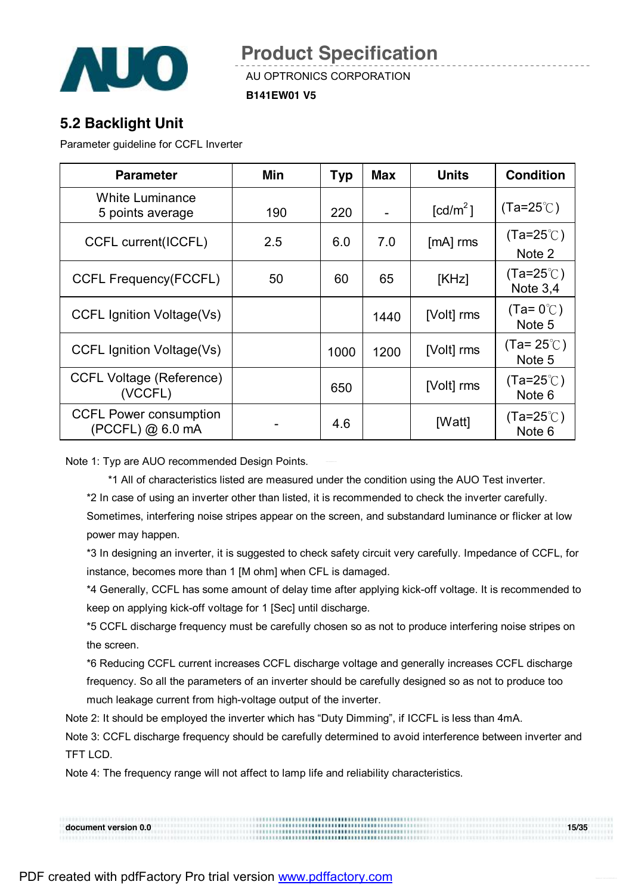

AU OPTRONICS CORPORATION

**B141EW01 V5** 

### **5.2 Backlight Unit**

Parameter guideline for CCFL Inverter

| <b>Parameter</b>                                    | Min | <b>Typ</b> | <b>Max</b> | <b>Units</b>           | <b>Condition</b>                 |
|-----------------------------------------------------|-----|------------|------------|------------------------|----------------------------------|
| <b>White Luminance</b><br>5 points average          | 190 | 220        |            | $\lceil cd/m^2 \rceil$ | $(Ta=25^{\circ}$ C)              |
| <b>CCFL current(ICCFL)</b>                          | 2.5 | 6.0        | 7.0        | $[mA]$ rms             | $(Ta=25^{\circ}$ C)<br>Note 2    |
| <b>CCFL Frequency(FCCFL)</b>                        | 50  | 60         | 65         | [KHz]                  | $(Ta=25^{\circ}C)$<br>Note $3.4$ |
| <b>CCFL Ignition Voltage(Vs)</b>                    |     |            | 1440       | [Volt] rms             | $(Ta=0^{\circ}$<br>Note 5        |
| <b>CCFL Ignition Voltage(Vs)</b>                    |     | 1000       | 1200       | [Volt] rms             | $(Ta=25^{\circ}$ C)<br>Note 5    |
| <b>CCFL Voltage (Reference)</b><br>(VCCFL)          |     | 650        |            | [Volt] rms             | $(Ta=25^{\circ}$<br>Note 6       |
| <b>CCFL Power consumption</b><br>$(PCCFL)$ @ 6.0 mA |     | 4.6        |            | [Watt]                 | $(Ta=25^{\circ}C)$<br>Note 6     |

Note 1: Typ are AUO recommended Design Points.

\*1 All of characteristics listed are measured under the condition using the AUO Test inverter.

\*2 In case of using an inverter other than listed, it is recommended to check the inverter carefully. Sometimes, interfering noise stripes appear on the screen, and substandard luminance or flicker at low

power may happen.

\*3 In designing an inverter, it is suggested to check safety circuit very carefully. Impedance of CCFL, for instance, becomes more than 1 [M ohm] when CFL is damaged.

\*4 Generally, CCFL has some amount of delay time after applying kick-off voltage. It is recommended to keep on applying kick-off voltage for 1 [Sec] until discharge.

\*5 CCFL discharge frequency must be carefully chosen so as not to produce interfering noise stripes on the screen.

\*6 Reducing CCFL current increases CCFL discharge voltage and generally increases CCFL discharge frequency. So all the parameters of an inverter should be carefully designed so as not to produce too much leakage current from high-voltage output of the inverter.

Note 2: It should be employed the inverter which has "Duty Dimming", if ICCFL is less than 4mA.

Note 3: CCFL discharge frequency should be carefully determined to avoid interference between inverter and TFT LCD.

Note 4: The frequency range will not affect to lamp life and reliability characteristics.

**document version 0.0** 15/35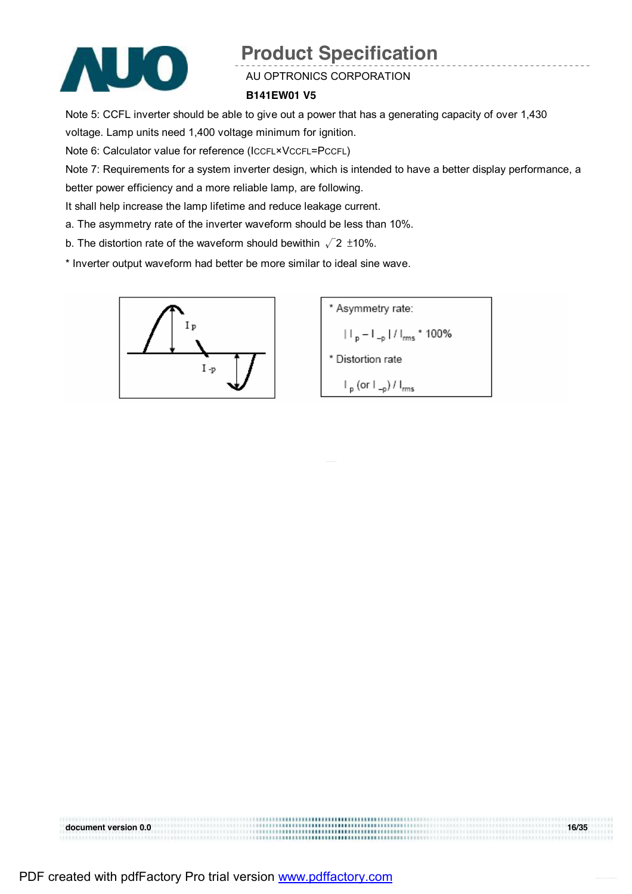

AU OPTRONICS CORPORATION

#### **B141EW01 V5**

Note 5: CCFL inverter should be able to give out a power that has a generating capacity of over 1,430

voltage. Lamp units need 1,400 voltage minimum for ignition.

Note 6: Calculator value for reference (ICCFL×VCCFL=PCCFL)

Note 7: Requirements for a system inverter design, which is intended to have a better display performance, a

better power efficiency and a more reliable lamp, are following.

It shall help increase the lamp lifetime and reduce leakage current.

- a. The asymmetry rate of the inverter waveform should be less than 10%.
- b. The distortion rate of the waveform should bewithin  $\sqrt{2}$  ±10%.

\* Inverter output waveform had better be more similar to ideal sine wave.



\* Asymmetry rate:  
\n
$$
||\mathbf{p} - \mathbf{L}_{\text{p}}||/|\mathbf{m}_{\text{f}}|^{2}
$$
\n\* Distortion rate  
\n
$$
||\mathbf{p}| \cos(\mathbf{L}_{\text{p}})/|\mathbf{m}_{\text{f}}|^{2}
$$

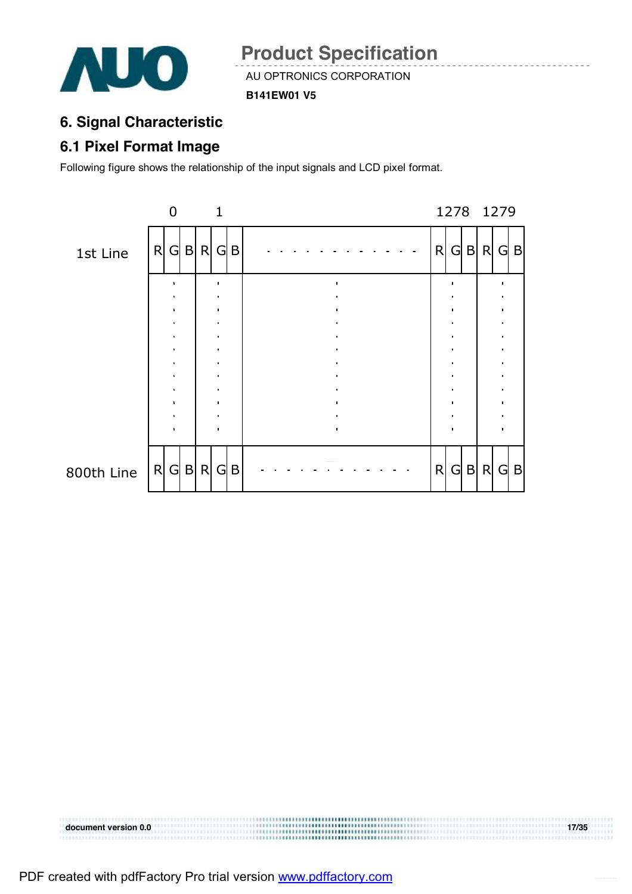

**B141EW01 V5** 

### **6. Signal Characteristic**

### **6.1 Pixel Format Image**

Following figure shows the relationship of the input signals and LCD pixel format.



**document version 0.0 17/35**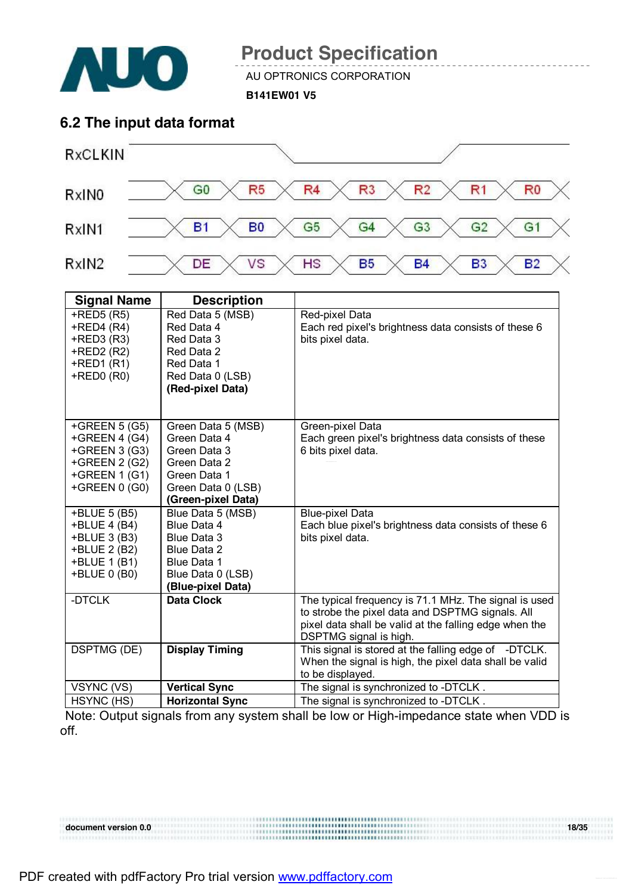

AU OPTRONICS CORPORATION

**B141EW01 V5** 

### **6.2 The input data format**



| <b>Signal Name</b>                             | <b>Description</b>                                                      |                                                                                                                                                                                                                                                |
|------------------------------------------------|-------------------------------------------------------------------------|------------------------------------------------------------------------------------------------------------------------------------------------------------------------------------------------------------------------------------------------|
| $+$ RED5 $(R5)$                                | Red Data 5 (MSB)                                                        | Red-pixel Data                                                                                                                                                                                                                                 |
| $+$ RED4 (R4)                                  | Red Data 4                                                              | Each red pixel's brightness data consists of these 6                                                                                                                                                                                           |
| $+$ RED3 $(R3)$                                | Red Data 3                                                              | bits pixel data.                                                                                                                                                                                                                               |
| +RED2 (R2)                                     | Red Data 2                                                              |                                                                                                                                                                                                                                                |
| $+$ RED1 $(R1)$                                | Red Data 1                                                              |                                                                                                                                                                                                                                                |
| $+$ RED0 $(R0)$                                | Red Data 0 (LSB)                                                        |                                                                                                                                                                                                                                                |
|                                                | (Red-pixel Data)                                                        |                                                                                                                                                                                                                                                |
|                                                |                                                                         |                                                                                                                                                                                                                                                |
|                                                |                                                                         |                                                                                                                                                                                                                                                |
| +GREEN $5(G5)$                                 | Green Data 5 (MSB)                                                      | Green-pixel Data                                                                                                                                                                                                                               |
| +GREEN 4 (G4)                                  | Green Data 4                                                            | Each green pixel's brightness data consists of these                                                                                                                                                                                           |
| +GREEN 3 (G3)                                  | Green Data 3                                                            | 6 bits pixel data.                                                                                                                                                                                                                             |
| +GREEN 2 (G2)                                  | Green Data 2                                                            |                                                                                                                                                                                                                                                |
| $+GREEN 1(G1)$                                 | Green Data 1                                                            |                                                                                                                                                                                                                                                |
| +GREEN $0$ (G0)                                | Green Data 0 (LSB)                                                      |                                                                                                                                                                                                                                                |
|                                                | (Green-pixel Data)                                                      |                                                                                                                                                                                                                                                |
| +BLUE 5 (B5)                                   | Blue Data 5 (MSB)                                                       | <b>Blue-pixel Data</b>                                                                                                                                                                                                                         |
| +BLUE 4 (B4)                                   | Blue Data 4                                                             | Each blue pixel's brightness data consists of these 6                                                                                                                                                                                          |
| +BLUE 3 (B3)                                   | Blue Data 3                                                             | bits pixel data.                                                                                                                                                                                                                               |
| +BLUE 2 (B2)                                   | Blue Data 2                                                             |                                                                                                                                                                                                                                                |
| +BLUE 1 (B1)                                   | Blue Data 1                                                             |                                                                                                                                                                                                                                                |
| +BLUE 0 (B0)                                   | Blue Data 0 (LSB)                                                       |                                                                                                                                                                                                                                                |
|                                                | (Blue-pixel Data)                                                       |                                                                                                                                                                                                                                                |
| -DTCLK                                         | <b>Data Clock</b>                                                       | The typical frequency is 71.1 MHz. The signal is used                                                                                                                                                                                          |
|                                                |                                                                         | to strobe the pixel data and DSPTMG signals. All                                                                                                                                                                                               |
|                                                |                                                                         | pixel data shall be valid at the falling edge when the                                                                                                                                                                                         |
|                                                |                                                                         |                                                                                                                                                                                                                                                |
|                                                |                                                                         |                                                                                                                                                                                                                                                |
|                                                |                                                                         |                                                                                                                                                                                                                                                |
|                                                |                                                                         |                                                                                                                                                                                                                                                |
|                                                |                                                                         |                                                                                                                                                                                                                                                |
|                                                |                                                                         |                                                                                                                                                                                                                                                |
| <b>DSPTMG (DE)</b><br>VSYNC (VS)<br>HSYNC (HS) | <b>Display Timing</b><br><b>Vertical Sync</b><br><b>Horizontal Sync</b> | DSPTMG signal is high.<br>This signal is stored at the falling edge of -DTCLK.<br>When the signal is high, the pixel data shall be valid<br>to be displayed.<br>The signal is synchronized to -DTCLK.<br>The signal is synchronized to -DTCLK. |

Note: Output signals from any system shall be low or High-impedance state when VDD is off.

#### **document** version 0.0 18/35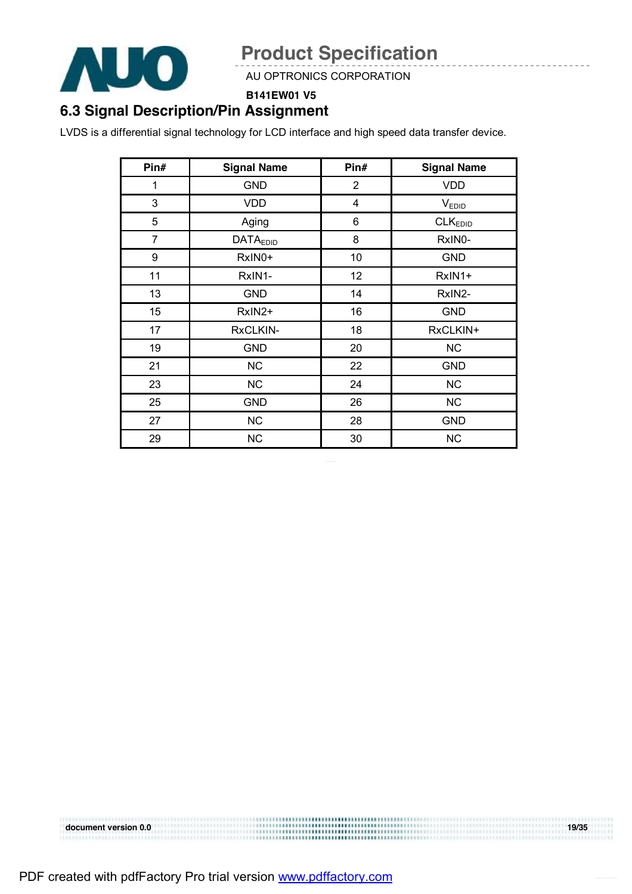

AU OPTRONICS CORPORATION

**B141EW01 V5** 

### **6.3 Signal Description/Pin Assignment**

LVDS is a differential signal technology for LCD interface and high speed data transfer device.

| Pin#           | <b>Signal Name</b> | Pin#           | <b>Signal Name</b>  |
|----------------|--------------------|----------------|---------------------|
| 1              | <b>GND</b>         | $\overline{2}$ | <b>VDD</b>          |
| 3              | <b>VDD</b>         | 4              | <b>VEDID</b>        |
| 5              | Aging              | 6              | CLK <sub>EDID</sub> |
| $\overline{7}$ | <b>DATAEDID</b>    | 8              | RxIN0-              |
| 9              | RxIN0+             | 10             | <b>GND</b>          |
| 11             | RxIN1-             | 12             | RxIN1+              |
| 13             | <b>GND</b>         | 14             | RxIN2-              |
| 15             | RxIN2+             | 16             | <b>GND</b>          |
| 17             | RxCLKIN-           | 18             | RxCLKIN+            |
| 19             | <b>GND</b>         | 20             | NC                  |
| 21             | <b>NC</b>          | 22             | <b>GND</b>          |
| 23             | NC                 | 24             | NC                  |
| 25             | <b>GND</b>         | 26             | NC                  |
| 27             | <b>NC</b>          | 28             | <b>GND</b>          |
| 29             | <b>NC</b>          | 30             | <b>NC</b>           |

**document** version 0.0 19/35 10000000000000000000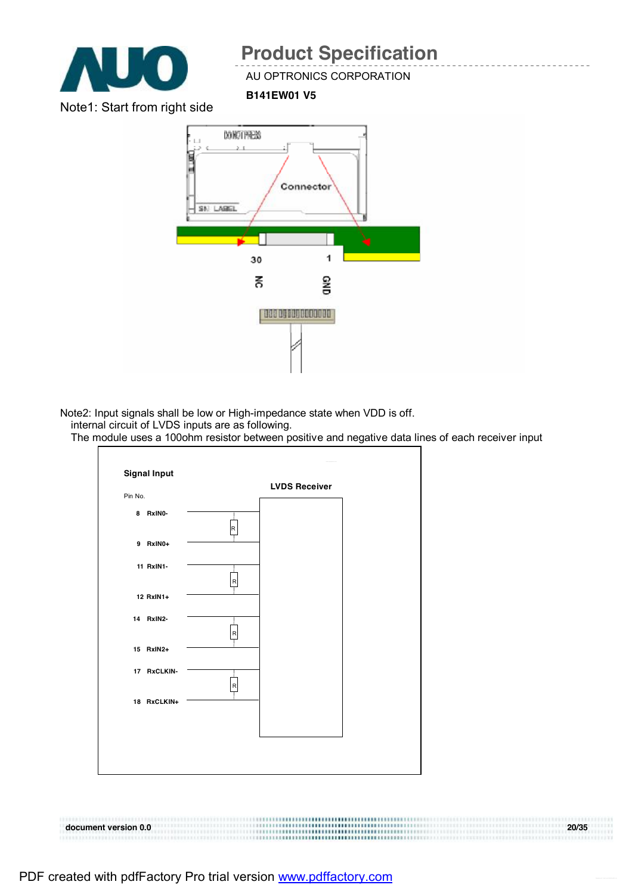

#### AU OPTRONICS CORPORATION

**B141EW01 V5** 

Note1: Start from right side



Note2: Input signals shall be low or High-impedance state when VDD is off.

internal circuit of LVDS inputs are as following.

The module uses a 100ohm resistor between positive and negative data lines of each receiver input



#### **document version 0.0 20/35**  3XXX333333333333333334133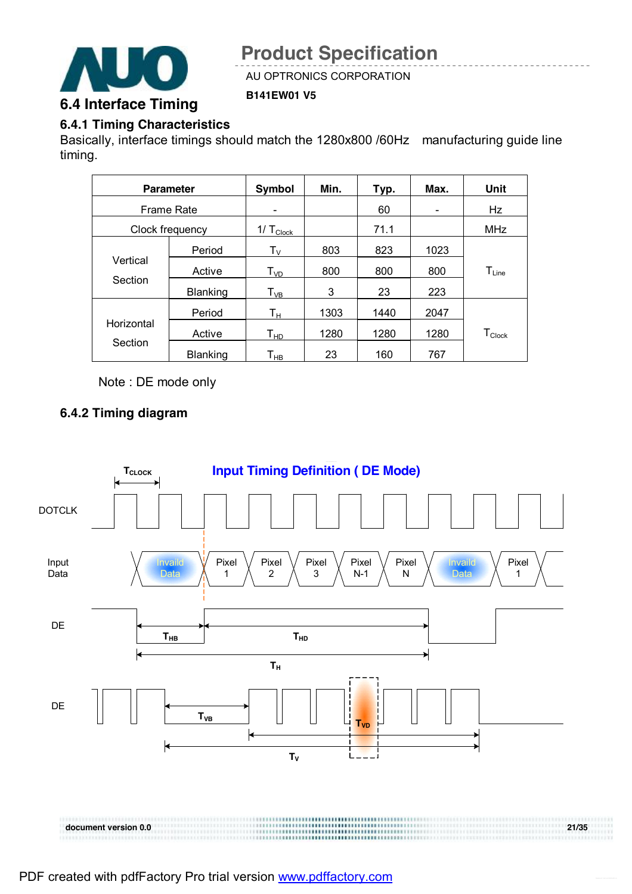

AU OPTRONICS CORPORATION

**B141EW01 V5** 

#### **6.4.1 Timing Characteristics**

Basically, interface timings should match the 1280x800 /60Hz manufacturing guide line timing.

|                   | <b>Parameter</b> | Symbol                        | Min. | Typ. | Max.                     | Unit                 |
|-------------------|------------------|-------------------------------|------|------|--------------------------|----------------------|
| <b>Frame Rate</b> |                  |                               |      | 60   | $\overline{\phantom{0}}$ | Hz                   |
| Clock frequency   |                  | $1/\mathsf{T}_{\text{Clock}}$ |      | 71.1 |                          | <b>MHz</b>           |
|                   | Period           | $\mathsf{T}_\mathsf{V}$       | 803  | 823  | 1023                     |                      |
| Vertical          | Active           | $T_{VD}$                      | 800  | 800  | 800                      | $T_{Line}$           |
| Section           | <b>Blanking</b>  | $T_{VB}$                      | 3    | 23   | 223                      |                      |
|                   | Period           | Tн                            | 1303 | 1440 | 2047                     |                      |
| Horizontal        | Active           | $\mathsf{T}_{\mathsf{HD}}$    | 1280 | 1280 | 1280                     | $T_{\mathsf{Clock}}$ |
| Section           | <b>Blanking</b>  | Т <sub>нв</sub>               | 23   | 160  | 767                      |                      |

Note : DE mode only

### **6.4.2 Timing diagram**

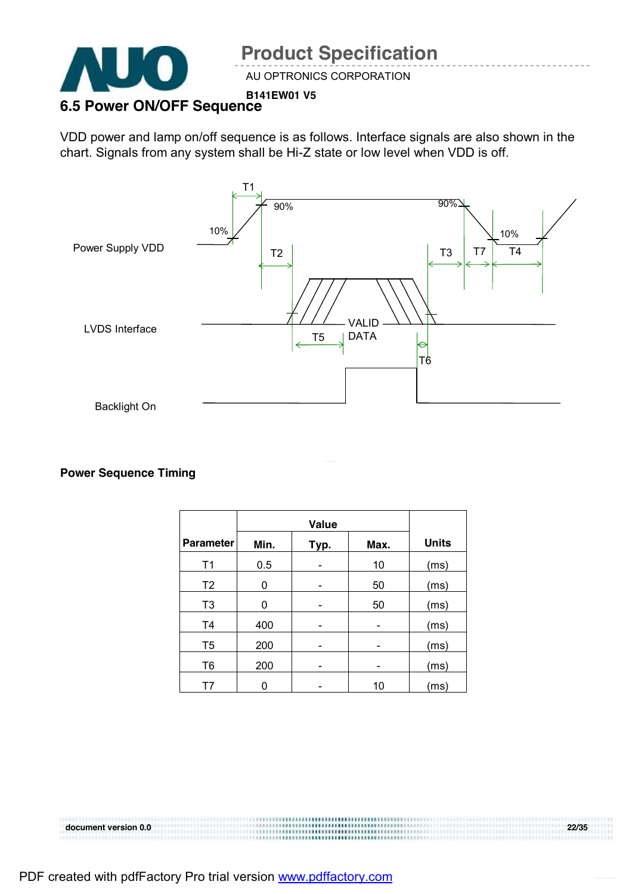

#### **B141EW01 V5 6.5 Power ON/OFF Sequence**

VDD power and lamp on/off sequence is as follows. Interface signals are also shown in the chart. Signals from any system shall be Hi-Z state or low level when VDD is off.



#### **Power Sequence Timing**

|                  | <b>Value</b> |      |      |              |
|------------------|--------------|------|------|--------------|
| <b>Parameter</b> | Min.         | Typ. | Max. | <b>Units</b> |
| T <sub>1</sub>   | 0.5          |      | 10   | (ms)         |
| T <sub>2</sub>   | 0            |      | 50   | (ms)         |
| T <sub>3</sub>   | 0            |      | 50   | (ms)         |
| T <sub>4</sub>   | 400          |      |      | (ms)         |
| T <sub>5</sub>   | 200          |      |      | (ms)         |
| T <sub>6</sub>   | 200          |      |      | (ms)         |
| Τ7               |              |      | 10   | (ms)         |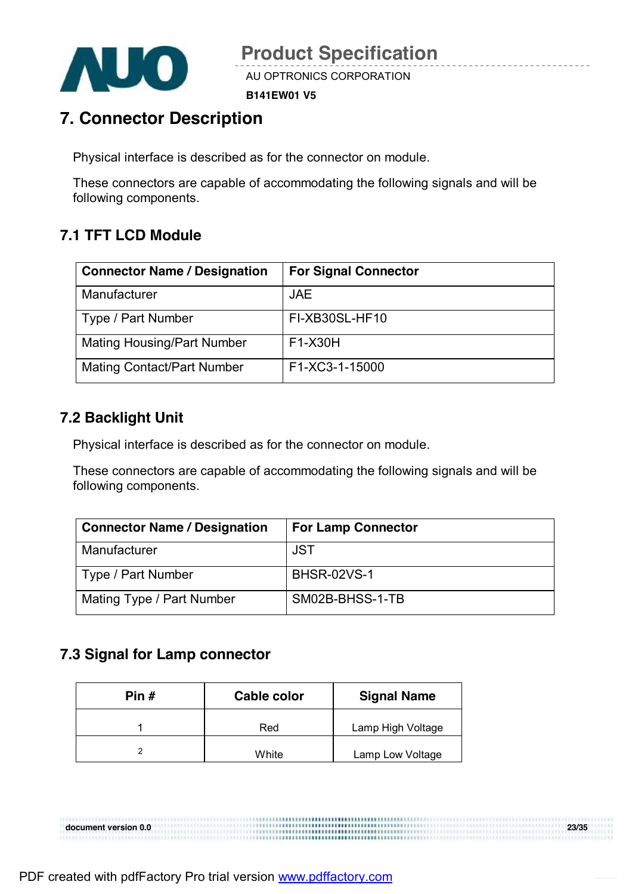

**B141EW01 V5** 

## **7. Connector Description**

Physical interface is described as for the connector on module.

These connectors are capable of accommodating the following signals and will be following components.

### **7.1 TFT LCD Module**

| <b>Connector Name / Designation</b> | <b>For Signal Connector</b> |
|-------------------------------------|-----------------------------|
| Manufacturer                        | <b>JAE</b>                  |
| Type / Part Number                  | FI-XB30SL-HF10              |
| <b>Mating Housing/Part Number</b>   | F1-X30H                     |
| <b>Mating Contact/Part Number</b>   | F1-XC3-1-15000              |

### **7.2 Backlight Unit**

Physical interface is described as for the connector on module.

These connectors are capable of accommodating the following signals and will be following components.

| <b>Connector Name / Designation</b> | <b>For Lamp Connector</b> |
|-------------------------------------|---------------------------|
| Manufacturer                        | <b>JST</b>                |
| Type / Part Number                  | <b>BHSR-02VS-1</b>        |
| Mating Type / Part Number           | SM02B-BHSS-1-TB           |

### **7.3 Signal for Lamp connector**

| Pin $#$ | <b>Cable color</b> | <b>Signal Name</b> |
|---------|--------------------|--------------------|
|         | Red                | Lamp High Voltage  |
|         | White              | Lamp Low Voltage   |

**document version 0.0 23/35**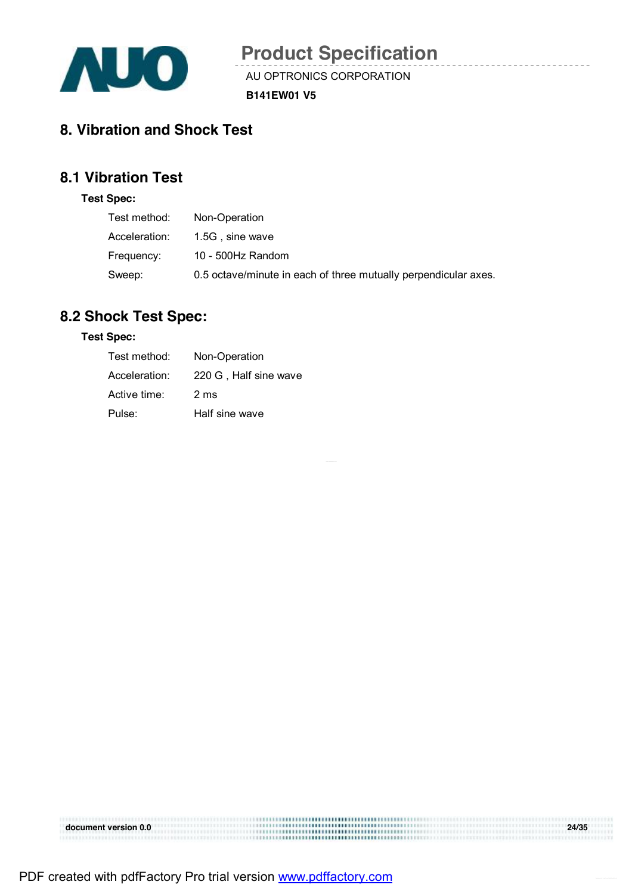

 $\sim$ 

AU OPTRONICS CORPORATION

**B141EW01 V5** 

### **8. Vibration and Shock Test**

### **8.1 Vibration Test**

#### **Test Spec:**

| Test method:  | Non-Operation                                                   |
|---------------|-----------------------------------------------------------------|
| Acceleration: | 1.5G, sine wave                                                 |
| Frequency:    | 10 - 500Hz Random                                               |
| Sweep:        | 0.5 octave/minute in each of three mutually perpendicular axes. |

### **8.2 Shock Test Spec:**

#### **Test Spec:**

| Test method:  | Non-Operation         |
|---------------|-----------------------|
| Acceleration: | 220 G, Half sine wave |
| Active time:  | 2 ms                  |
| Pulse:        | Half sine wave        |

| document version 0.0 |         | 24/35 |
|----------------------|---------|-------|
|                      |         |       |
|                      | <b></b> |       |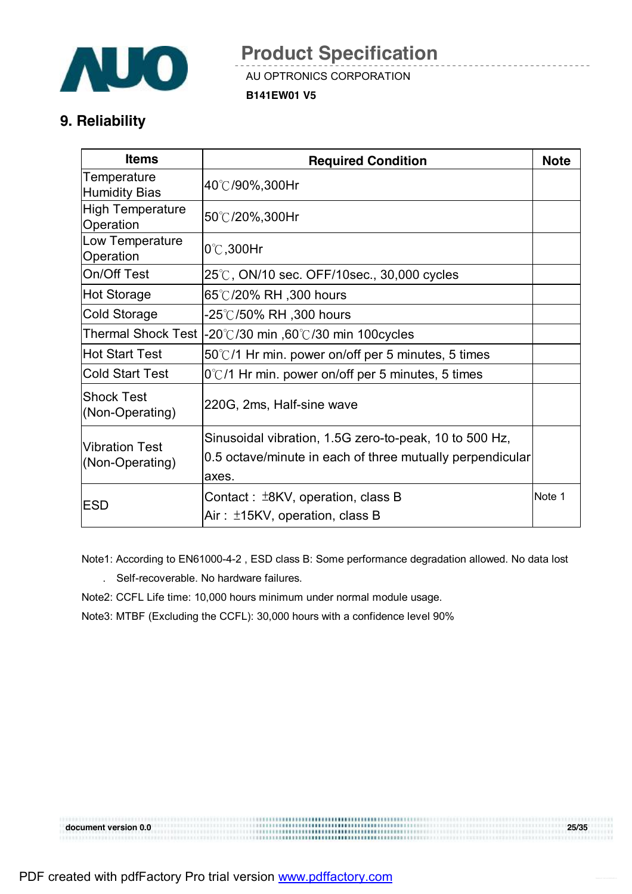

AU OPTRONICS CORPORATION

**B141EW01 V5** 

### **9. Reliability**

| <b>Items</b>                             | <b>Required Condition</b>                                                     | <b>Note</b> |
|------------------------------------------|-------------------------------------------------------------------------------|-------------|
| Temperature<br>Humidity Bias             | 40℃/90%,300Hr                                                                 |             |
| High Temperature<br>Operation            | 50℃/20%,300Hr                                                                 |             |
| Low Temperature<br>Operation             | $0^{\circ}$ C, 300Hr                                                          |             |
| On/Off Test                              | 25℃, ON/10 sec. OFF/10sec., 30,000 cycles                                     |             |
| Hot Storage                              | 65℃/20% RH ,300 hours                                                         |             |
| Cold Storage                             | -25℃/50% RH ,300 hours                                                        |             |
| Thermal Shock Test                       | $-20^{\circ}$ /30 min ,60 $^{\circ}$ /30 min 100 cycles                       |             |
| Hot Start Test                           | $50^{\circ}$ /1 Hr min. power on/off per 5 minutes, 5 times                   |             |
| <b>Cold Start Test</b>                   | $0^{\circ}$ C/1 Hr min. power on/off per 5 minutes, 5 times                   |             |
| Shock Test<br>(Non-Operating)            | 220G, 2ms, Half-sine wave                                                     |             |
|                                          | Sinusoidal vibration, 1.5G zero-to-peak, 10 to 500 Hz,                        |             |
| <b>Vibration Test</b><br>(Non-Operating) | 0.5 octave/minute in each of three mutually perpendicular<br>axes.            |             |
| <b>IESD</b>                              | Contact: $\pm$ 8KV, operation, class B<br>Air: $\pm$ 15KV, operation, class B | Note 1      |

Note1: According to EN61000-4-2 , ESD class B: Some performance degradation allowed. No data lost

. Self-recoverable. No hardware failures.

Note2: CCFL Life time: 10,000 hours minimum under normal module usage.

Note3: MTBF (Excluding the CCFL): 30,000 hours with a confidence level 90%

**document version 0.0 25/35**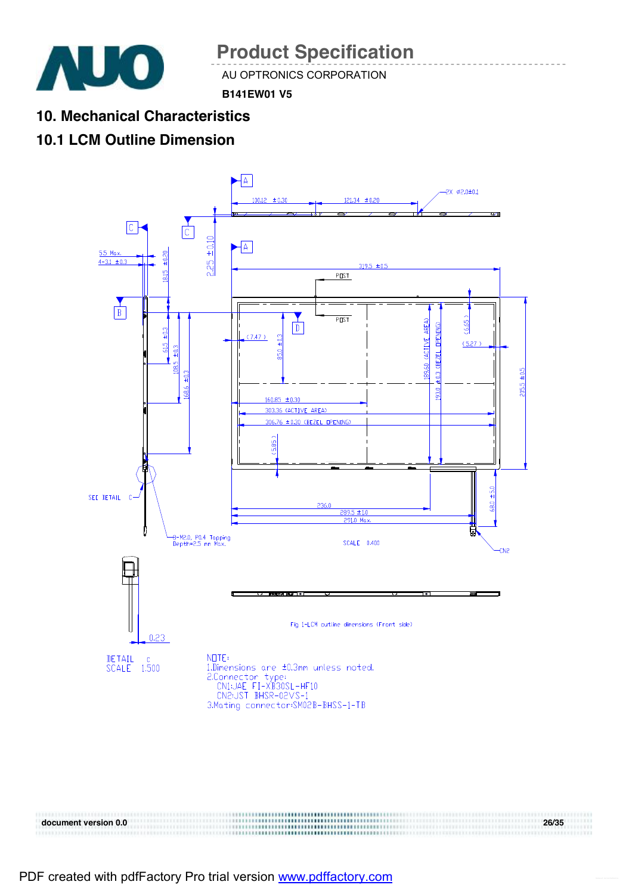

AU OPTRONICS CORPORATION

**B141EW01 V5** 

**10. Mechanical Characteristics** 

### **10.1 LCM Outline Dimension**



**document version 0.0 26/35**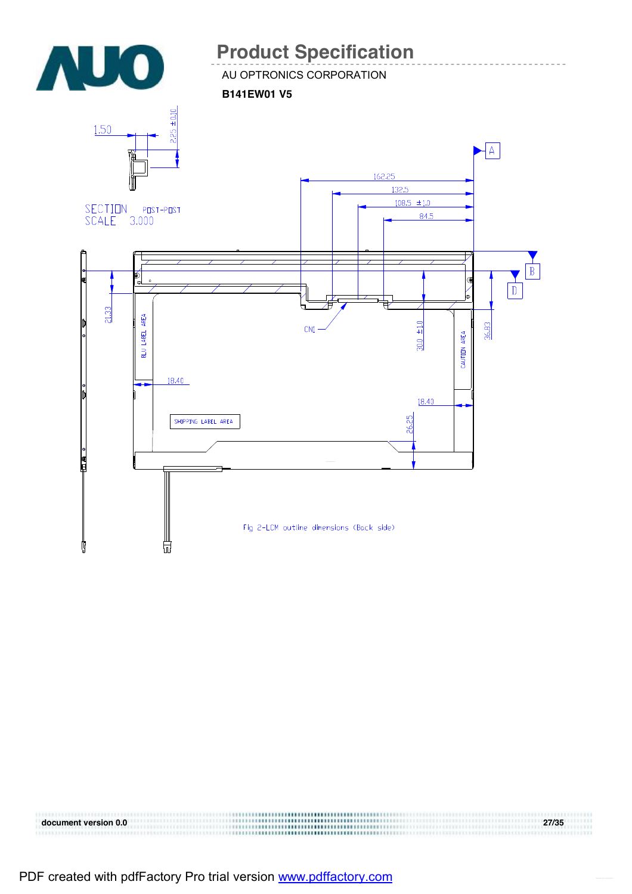

PDF created with pdfFactory Pro trial version [www.pdffactory.com](http://www.pdffactory.com)

**document version 0.0 27/35**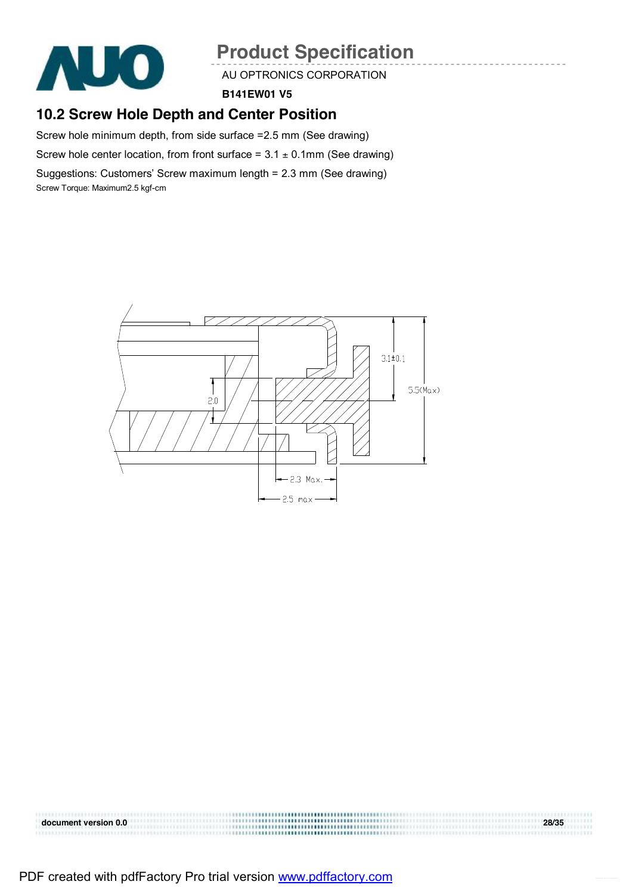

AU OPTRONICS CORPORATION

**B141EW01 V5** 

### **10.2 Screw Hole Depth and Center Position**

Screw hole minimum depth, from side surface =2.5 mm (See drawing)

Screw hole center location, from front surface =  $3.1 \pm 0.1$ mm (See drawing)

Suggestions: Customers' Screw maximum length = 2.3 mm (See drawing) Screw Torque: Maximum2.5 kgf-cm



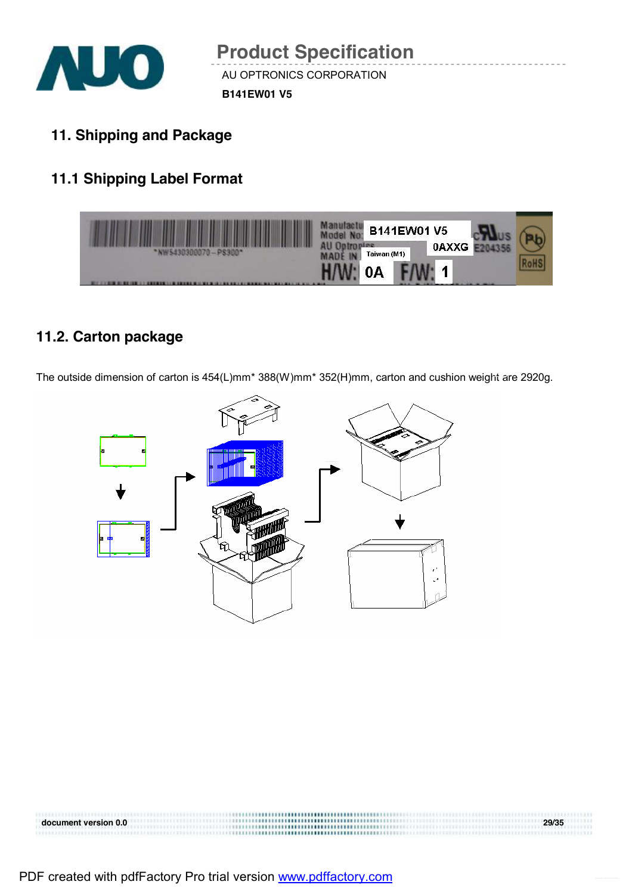

- **B141EW01 V5**
- **11. Shipping and Package**

### **11.1 Shipping Label Format**



### **11.2. Carton package**

The outside dimension of carton is 454(L)mm\* 388(W)mm\* 352(H)mm, carton and cushion weight are 2920g.



**document version 0.0 29/35**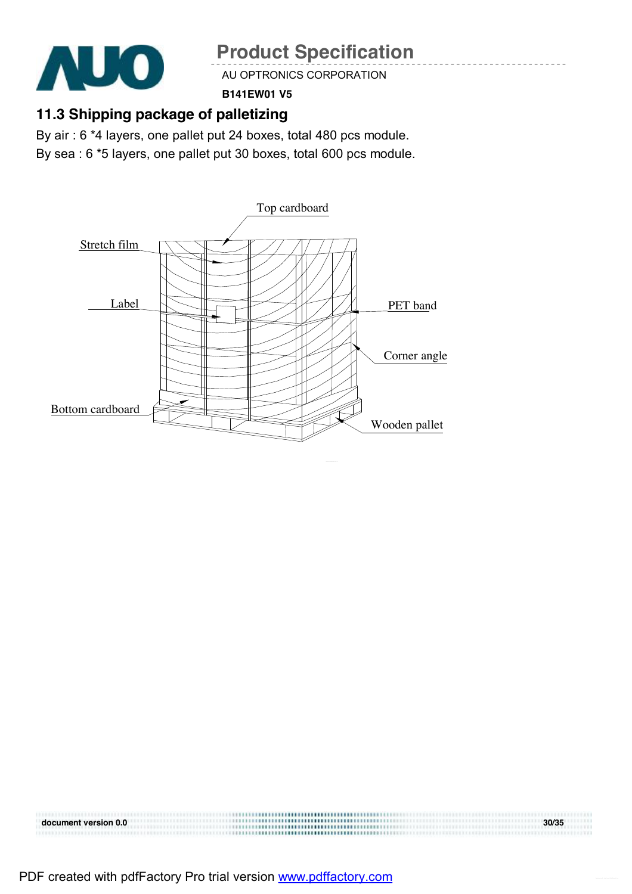

AU OPTRONICS CORPORATION

**B141EW01 V5** 

### **11.3 Shipping package of palletizing**

By air : 6 \*4 layers, one pallet put 24 boxes, total 480 pcs module.

By sea : 6 \*5 layers, one pallet put 30 boxes, total 600 pcs module.



**document version 0.0 30/35**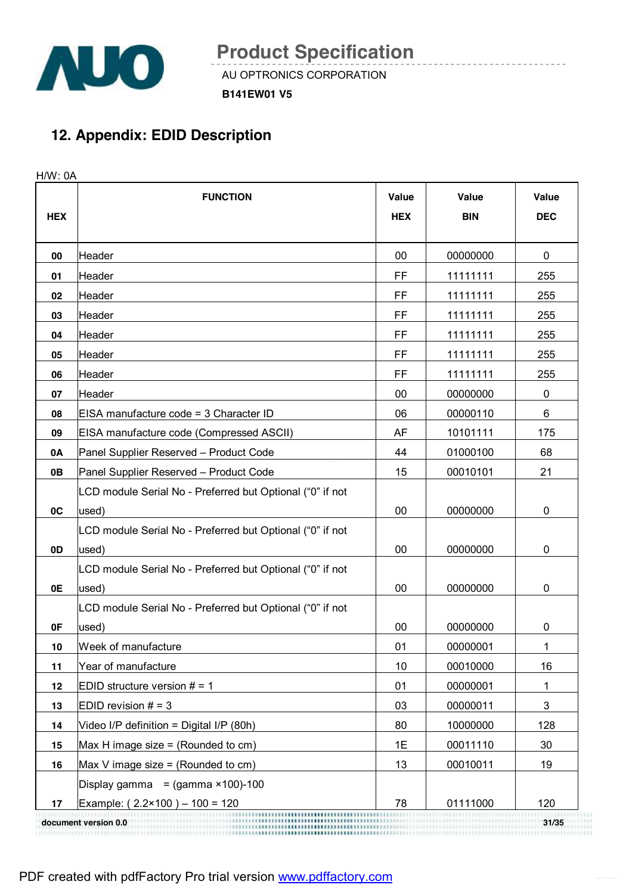

**B141EW01 V5** 

### **12. Appendix: EDID Description**

H/W: 0A

|            | <b>FUNCTION</b>                                           | <b>Value</b> | Value      | Value       |
|------------|-----------------------------------------------------------|--------------|------------|-------------|
| <b>HEX</b> |                                                           | <b>HEX</b>   | <b>BIN</b> | <b>DEC</b>  |
|            |                                                           |              |            |             |
| 00         | Header                                                    | 00           | 00000000   | 0           |
| 01         | Header                                                    | FF           | 11111111   | 255         |
| 02         | Header                                                    | FF           | 11111111   | 255         |
| 03         | Header                                                    | FF           | 11111111   | 255         |
| 04         | Header                                                    | FF           | 11111111   | 255         |
| 05         | Header                                                    | FF           | 11111111   | 255         |
| 06         | Header                                                    | FF           | 11111111   | 255         |
| 07         | Header                                                    | 00           | 00000000   | 0           |
| 08         | EISA manufacture code = 3 Character ID                    | 06           | 00000110   | 6           |
| 09         | EISA manufacture code (Compressed ASCII)                  | AF           | 10101111   | 175         |
| 0A         | Panel Supplier Reserved - Product Code                    | 44           | 01000100   | 68          |
| 0В         | Panel Supplier Reserved - Product Code                    | 15           | 00010101   | 21          |
|            | LCD module Serial No - Preferred but Optional ("0" if not |              |            |             |
| 0C         | used)                                                     | 00           | 00000000   | 0           |
|            | LCD module Serial No - Preferred but Optional ("0" if not |              |            |             |
| 0D         | used)                                                     | 00           | 00000000   | 0           |
|            | LCD module Serial No - Preferred but Optional ("0" if not |              |            |             |
| 0E         | used)                                                     | 00           | 00000000   | 0           |
|            | LCD module Serial No - Preferred but Optional ("0" if not |              |            |             |
| 0F         | used)                                                     | 00           | 00000000   | 0           |
| 10         | Week of manufacture                                       | 01           | 00000001   | 1           |
| 11         | Year of manufacture                                       | 10           | 00010000   | 16          |
| 12         | EDID structure version $# = 1$                            | 01           | 00000001   | 1           |
| 13         | EDID revision $# = 3$                                     | 03           | 00000011   | $\mathsf 3$ |
| 14         | Video I/P definition = Digital I/P (80h)                  | 80           | 10000000   | 128         |
| 15         | Max H image size = (Rounded to cm)                        | 1E           | 00011110   | 30          |
| 16         | Max V image size = (Rounded to $cm$ )                     | 13           | 00010011   | 19          |
|            | Display gamma = $(gamma \times 100) - 100$                |              |            |             |
| 17         | Example: $(2.2 \times 100) - 100 = 120$                   | 78           | 01111000   | 120         |
|            | document version 0.0                                      |              |            | 31/35       |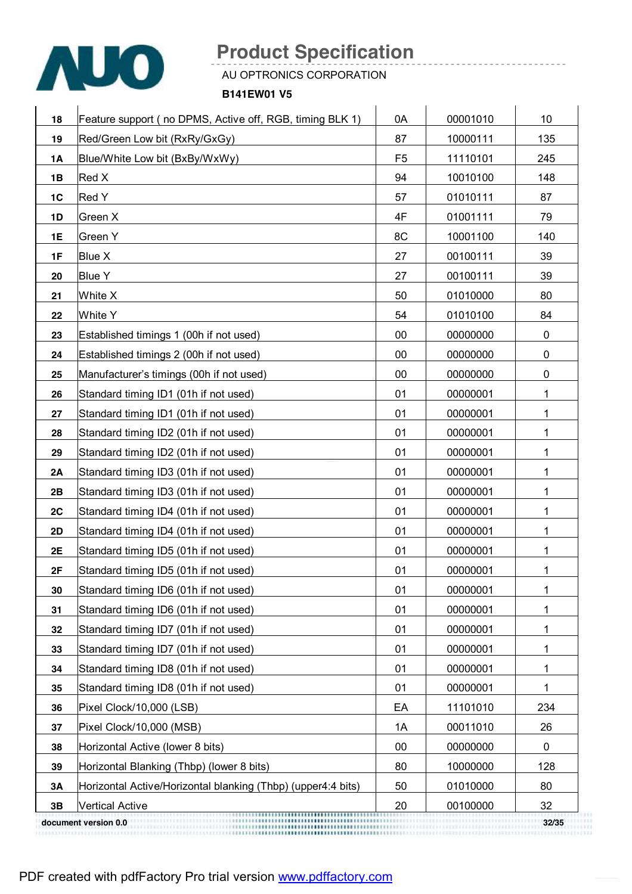

AU OPTRONICS CORPORATION

**B141EW01 V5** 

| 18        | Feature support (no DPMS, Active off, RGB, timing BLK 1)     | 0A             | 00001010 | 10  |
|-----------|--------------------------------------------------------------|----------------|----------|-----|
| 19        | Red/Green Low bit (RxRy/GxGy)                                | 87             | 10000111 | 135 |
| 1A        | Blue/White Low bit (BxBy/WxWy)                               | F <sub>5</sub> | 11110101 | 245 |
| 1B        | Red X                                                        | 94             | 10010100 | 148 |
| 1C        | Red Y                                                        | 57             | 01010111 | 87  |
| 1D        | Green X                                                      | 4F             | 01001111 | 79  |
| 1E        | Green Y                                                      | 8C             | 10001100 | 140 |
| 1F        | <b>Blue X</b>                                                | 27             | 00100111 | 39  |
| 20        | <b>Blue Y</b>                                                | 27             | 00100111 | 39  |
| 21        | White X                                                      | 50             | 01010000 | 80  |
| 22        | White Y                                                      | 54             | 01010100 | 84  |
| 23        | Established timings 1 (00h if not used)                      | 00             | 00000000 | 0   |
| 24        | Established timings 2 (00h if not used)                      | 00             | 00000000 | 0   |
| 25        | Manufacturer's timings (00h if not used)                     | 00             | 00000000 | 0   |
| 26        | Standard timing ID1 (01h if not used)                        | 01             | 00000001 | 1   |
| 27        | Standard timing ID1 (01h if not used)                        | 01             | 00000001 | 1   |
| 28        | Standard timing ID2 (01h if not used)                        | 01             | 00000001 | 1   |
| 29        | Standard timing ID2 (01h if not used)                        | 01             | 00000001 | 1   |
| 2A        | Standard timing ID3 (01h if not used)                        | 01             | 00000001 | 1   |
| 2B        | Standard timing ID3 (01h if not used)                        | 01             | 00000001 | 1   |
| 2C        | Standard timing ID4 (01h if not used)                        | 01             | 00000001 | 1   |
| 2D        | Standard timing ID4 (01h if not used)                        | 01             | 00000001 | 1   |
| 2E        | Standard timing ID5 (01h if not used)                        | 01             | 00000001 | 1   |
| 2F        | Standard timing ID5 (01h if not used)                        | 01             | 00000001 | 1   |
| 30        | Standard timing ID6 (01h if not used)                        | 01             | 00000001 | 1   |
| 31        | Standard timing ID6 (01h if not used)                        | 01             | 00000001 | 1   |
| 32        | Standard timing ID7 (01h if not used)                        | 01             | 00000001 | 1   |
| 33        | Standard timing ID7 (01h if not used)                        | 01             | 00000001 | 1   |
| 34        | Standard timing ID8 (01h if not used)                        | 01             | 00000001 | 1   |
| 35        | Standard timing ID8 (01h if not used)                        | 01             | 00000001 | 1   |
| 36        | Pixel Clock/10,000 (LSB)                                     | EA             | 11101010 | 234 |
| 37        | Pixel Clock/10,000 (MSB)                                     | 1A             | 00011010 | 26  |
| 38        | Horizontal Active (lower 8 bits)                             | 00             | 00000000 | 0   |
| 39        | Horizontal Blanking (Thbp) (lower 8 bits)                    | 80             | 10000000 | 128 |
| <b>3A</b> | Horizontal Active/Horizontal blanking (Thbp) (upper4:4 bits) | 50             | 01010000 | 80  |
| 3B        | <b>Vertical Active</b>                                       | 20             | 00100000 | 32  |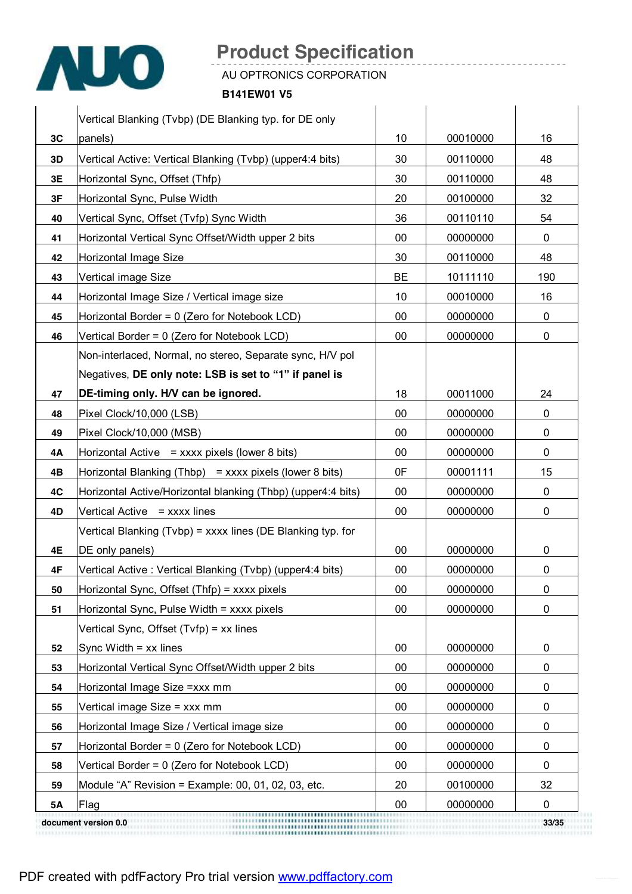

AU OPTRONICS CORPORATION

**B141EW01 V5** 

|           | Vertical Blanking (Tvbp) (DE Blanking typ. for DE only       |           |          |              |
|-----------|--------------------------------------------------------------|-----------|----------|--------------|
| 3C        | panels)                                                      | 10        | 00010000 | 16           |
| 3D        | Vertical Active: Vertical Blanking (Tvbp) (upper4:4 bits)    | 30        | 00110000 | 48           |
| 3E        | Horizontal Sync, Offset (Thfp)                               | 30        | 00110000 | 48           |
| 3F        | Horizontal Sync, Pulse Width                                 | 20        | 00100000 | 32           |
| 40        | Vertical Sync, Offset (Tvfp) Sync Width                      | 36        | 00110110 | 54           |
| 41        | Horizontal Vertical Sync Offset/Width upper 2 bits           | 00        | 00000000 | $\mathbf{0}$ |
| 42        | Horizontal Image Size                                        | 30        | 00110000 | 48           |
| 43        | Vertical image Size                                          | <b>BE</b> | 10111110 | 190          |
| 44        | Horizontal Image Size / Vertical image size                  | 10        | 00010000 | 16           |
| 45        | Horizontal Border = 0 (Zero for Notebook LCD)                | 00        | 00000000 | 0            |
| 46        | Vertical Border = 0 (Zero for Notebook LCD)                  | 00        | 00000000 | 0            |
|           | Non-interlaced, Normal, no stereo, Separate sync, H/V pol    |           |          |              |
|           | Negatives, DE only note: LSB is set to "1" if panel is       |           |          |              |
| 47        | DE-timing only. H/V can be ignored.                          | 18        | 00011000 | 24           |
| 48        | Pixel Clock/10,000 (LSB)                                     | 00        | 00000000 | 0            |
| 49        | Pixel Clock/10,000 (MSB)                                     | 00        | 00000000 | 0            |
| 4Α        | Horizontal Active = $xxxxx$ pixels (lower 8 bits)            | $00\,$    | 00000000 | 0            |
| 4B        | Horizontal Blanking (Thbp) = $xxxx$ pixels (lower 8 bits)    | 0F        | 00001111 | 15           |
| 4C        | Horizontal Active/Horizontal blanking (Thbp) (upper4:4 bits) | 00        | 00000000 | 0            |
| 4D        | Vertical Active = xxxx lines                                 | 00        | 00000000 | 0            |
|           | Vertical Blanking (Tvbp) = xxxx lines (DE Blanking typ. for  |           |          |              |
| 4E        | DE only panels)                                              | 00        | 00000000 | 0            |
| 4F        | Vertical Active: Vertical Blanking (Tvbp) (upper4:4 bits)    | 00        | 00000000 | 0            |
| 50        | Horizontal Sync, Offset (Thfp) = xxxx pixels                 | 00        | 00000000 | 0            |
| 51        | Horizontal Sync, Pulse Width = xxxx pixels                   | 00        | 00000000 | 0            |
|           | Vertical Sync, Offset (Tvfp) = xx lines                      |           |          |              |
| 52        | Sync Width $=$ xx lines                                      | $00\,$    | 00000000 | 0            |
| 53        | Horizontal Vertical Sync Offset/Width upper 2 bits           | 00        | 00000000 | 0            |
| 54        | Horizontal Image Size = xxx mm                               | 00        | 00000000 | 0            |
| 55        | Vertical image Size = xxx mm                                 | 00        | 00000000 | 0            |
| 56        | Horizontal Image Size / Vertical image size                  | 00        | 00000000 | 0            |
| 57        | Horizontal Border = 0 (Zero for Notebook LCD)                | 00        | 00000000 | 0            |
| 58        | Vertical Border = 0 (Zero for Notebook LCD)                  | 00        | 00000000 | 0            |
| 59        | Module "A" Revision = Example: 00, 01, 02, 03, etc.          | 20        | 00100000 | 32           |
| <b>5A</b> | Flag                                                         | 00        | 00000000 | 0            |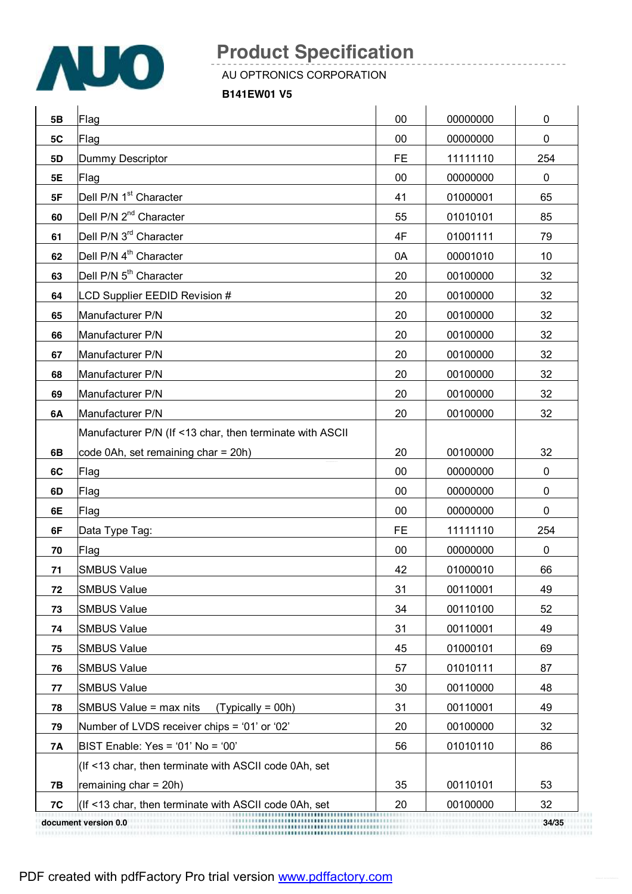

AU OPTRONICS CORPORATION

**B141EW01 V5** 

| 5 <b>B</b> | Flag                                                     | 00        | 00000000 | 0           |
|------------|----------------------------------------------------------|-----------|----------|-------------|
| 5C         | Flag                                                     | 00        | 00000000 | $\mathbf 0$ |
| 5D         | Dummy Descriptor                                         | <b>FE</b> | 11111110 | 254         |
| 5E         | Flag                                                     | 00        | 00000000 | 0           |
| 5F         | Dell P/N 1 <sup>st</sup> Character                       | 41        | 01000001 | 65          |
| 60         | Dell P/N 2 <sup>nd</sup> Character                       | 55        | 01010101 | 85          |
| 61         | Dell P/N 3 <sup>rd</sup> Character                       | 4F        | 01001111 | 79          |
| 62         | Dell P/N 4 <sup>th</sup> Character                       | 0A        | 00001010 | 10          |
| 63         | Dell P/N 5 <sup>th</sup> Character                       | 20        | 00100000 | 32          |
| 64         | LCD Supplier EEDID Revision #                            | 20        | 00100000 | 32          |
| 65         | Manufacturer P/N                                         | 20        | 00100000 | 32          |
| 66         | Manufacturer P/N                                         | 20        | 00100000 | 32          |
| 67         | Manufacturer P/N                                         | 20        | 00100000 | 32          |
| 68         | Manufacturer P/N                                         | 20        | 00100000 | 32          |
| 69         | Manufacturer P/N                                         | 20        | 00100000 | 32          |
| 6A         | Manufacturer P/N                                         | 20        | 00100000 | 32          |
|            | Manufacturer P/N (If <13 char, then terminate with ASCII |           |          |             |
| 6B         | code 0Ah, set remaining char = 20h)                      | 20        | 00100000 | 32          |
| 6C         | Flag                                                     | 00        | 00000000 | 0           |
| 6D         | Flag                                                     | 00        | 00000000 | 0           |
| 6E         | Flag                                                     | 00        | 00000000 | $\pmb{0}$   |
| 6F         | Data Type Tag:                                           | <b>FE</b> | 11111110 | 254         |
| 70         | Flag                                                     | 00        | 00000000 | $\mathbf 0$ |
| 71         | <b>SMBUS Value</b>                                       | 42        | 01000010 | 66          |
| 72         | <b>SMBUS Value</b>                                       | 31        | 00110001 | 49          |
| 73         | <b>SMBUS Value</b>                                       | 34        | 00110100 | 52          |
| 74         | <b>SMBUS Value</b>                                       | 31        | 00110001 | 49          |
| 75         | <b>SMBUS Value</b>                                       | 45        | 01000101 | 69          |
| 76         | <b>SMBUS Value</b>                                       | 57        | 01010111 | 87          |
| 77         | <b>SMBUS Value</b>                                       | 30        | 00110000 | 48          |
| 78         | SMBUS Value = max nits<br>$(Typically = 00h)$            | 31        | 00110001 | 49          |
| 79         | Number of LVDS receiver chips = '01' or '02'             | 20        | 00100000 | 32          |
| 7A         | $BIST$ Enable: Yes = '01' No = '00'                      | 56        | 01010110 | 86          |
|            | (If <13 char, then terminate with ASCII code 0Ah, set    |           |          |             |
| <b>7B</b>  | remaining $char = 20h$ )                                 | 35        | 00110101 | 53          |
| 7C         | (If <13 char, then terminate with ASCII code 0Ah, set    | 20        | 00100000 | 32          |